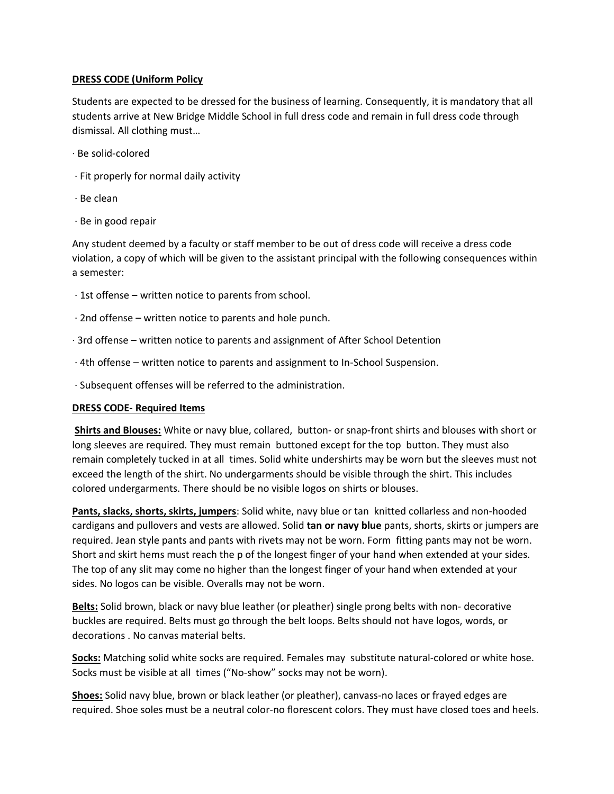## **DRESS CODE (Uniform Policy**

Students are expected to be dressed for the business of learning. Consequently, it is mandatory that all students arrive at New Bridge Middle School in full dress code and remain in full dress code through dismissal. All clothing must…

- · Be solid-colored
- · Fit properly for normal daily activity
- · Be clean
- · Be in good repair

Any student deemed by a faculty or staff member to be out of dress code will receive a dress code violation, a copy of which will be given to the assistant principal with the following consequences within a semester:

- · 1st offense written notice to parents from school.
- · 2nd offense written notice to parents and hole punch.
- · 3rd offense written notice to parents and assignment of After School Detention
- · 4th offense written notice to parents and assignment to In-School Suspension.
- · Subsequent offenses will be referred to the administration.

## **DRESS CODE- Required Items**

**Shirts and Blouses:** White or navy blue, collared, button- or snap-front shirts and blouses with short or long sleeves are required. They must remain buttoned except for the top button. They must also remain completely tucked in at all times. Solid white undershirts may be worn but the sleeves must not exceed the length of the shirt. No undergarments should be visible through the shirt. This includes colored undergarments. There should be no visible logos on shirts or blouses.

**Pants, slacks, shorts, skirts, jumpers**: Solid white, navy blue or tan knitted collarless and non-hooded cardigans and pullovers and vests are allowed. Solid **tan or navy blue** pants, shorts, skirts or jumpers are required. Jean style pants and pants with rivets may not be worn. Form fitting pants may not be worn. Short and skirt hems must reach the p of the longest finger of your hand when extended at your sides. The top of any slit may come no higher than the longest finger of your hand when extended at your sides. No logos can be visible. Overalls may not be worn.

**Belts:** Solid brown, black or navy blue leather (or pleather) single prong belts with non- decorative buckles are required. Belts must go through the belt loops. Belts should not have logos, words, or decorations . No canvas material belts.

**Socks:** Matching solid white socks are required. Females may substitute natural-colored or white hose. Socks must be visible at all times ("No-show" socks may not be worn).

**Shoes:** Solid navy blue, brown or black leather (or pleather), canvass-no laces or frayed edges are required. Shoe soles must be a neutral color-no florescent colors. They must have closed toes and heels.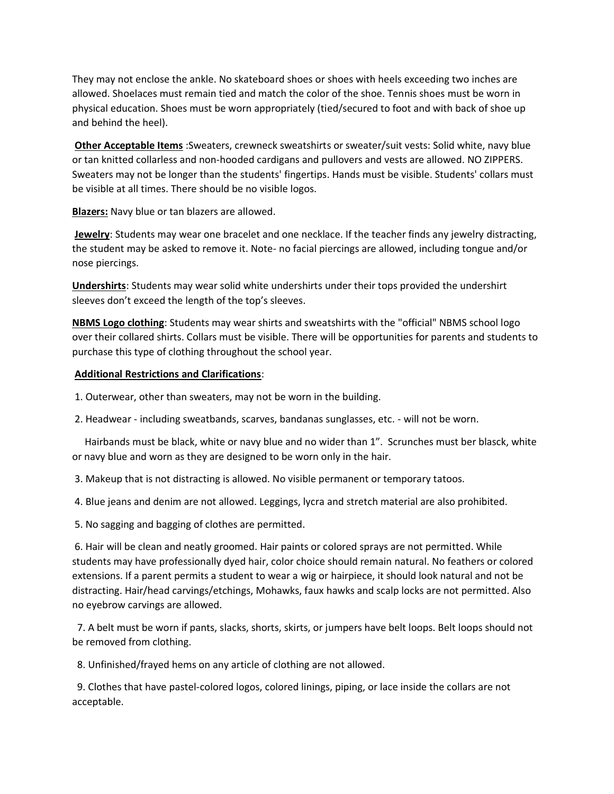They may not enclose the ankle. No skateboard shoes or shoes with heels exceeding two inches are allowed. Shoelaces must remain tied and match the color of the shoe. Tennis shoes must be worn in physical education. Shoes must be worn appropriately (tied/secured to foot and with back of shoe up and behind the heel).

**Other Acceptable Items** :Sweaters, crewneck sweatshirts or sweater/suit vests: Solid white, navy blue or tan knitted collarless and non-hooded cardigans and pullovers and vests are allowed. NO ZIPPERS. Sweaters may not be longer than the students' fingertips. Hands must be visible. Students' collars must be visible at all times. There should be no visible logos.

**Blazers:** Navy blue or tan blazers are allowed.

**Jewelry**: Students may wear one bracelet and one necklace. If the teacher finds any jewelry distracting, the student may be asked to remove it. Note- no facial piercings are allowed, including tongue and/or nose piercings.

**Undershirts**: Students may wear solid white undershirts under their tops provided the undershirt sleeves don't exceed the length of the top's sleeves.

**NBMS Logo clothing**: Students may wear shirts and sweatshirts with the "official" NBMS school logo over their collared shirts. Collars must be visible. There will be opportunities for parents and students to purchase this type of clothing throughout the school year.

## **Additional Restrictions and Clarifications**:

- 1. Outerwear, other than sweaters, may not be worn in the building.
- 2. Headwear including sweatbands, scarves, bandanas sunglasses, etc. will not be worn.

 Hairbands must be black, white or navy blue and no wider than 1". Scrunches must ber blasck, white or navy blue and worn as they are designed to be worn only in the hair.

- 3. Makeup that is not distracting is allowed. No visible permanent or temporary tatoos.
- 4. Blue jeans and denim are not allowed. Leggings, lycra and stretch material are also prohibited.
- 5. No sagging and bagging of clothes are permitted.

6. Hair will be clean and neatly groomed. Hair paints or colored sprays are not permitted. While students may have professionally dyed hair, color choice should remain natural. No feathers or colored extensions. If a parent permits a student to wear a wig or hairpiece, it should look natural and not be distracting. Hair/head carvings/etchings, Mohawks, faux hawks and scalp locks are not permitted. Also no eyebrow carvings are allowed.

 7. A belt must be worn if pants, slacks, shorts, skirts, or jumpers have belt loops. Belt loops should not be removed from clothing.

8. Unfinished/frayed hems on any article of clothing are not allowed.

 9. Clothes that have pastel-colored logos, colored linings, piping, or lace inside the collars are not acceptable.